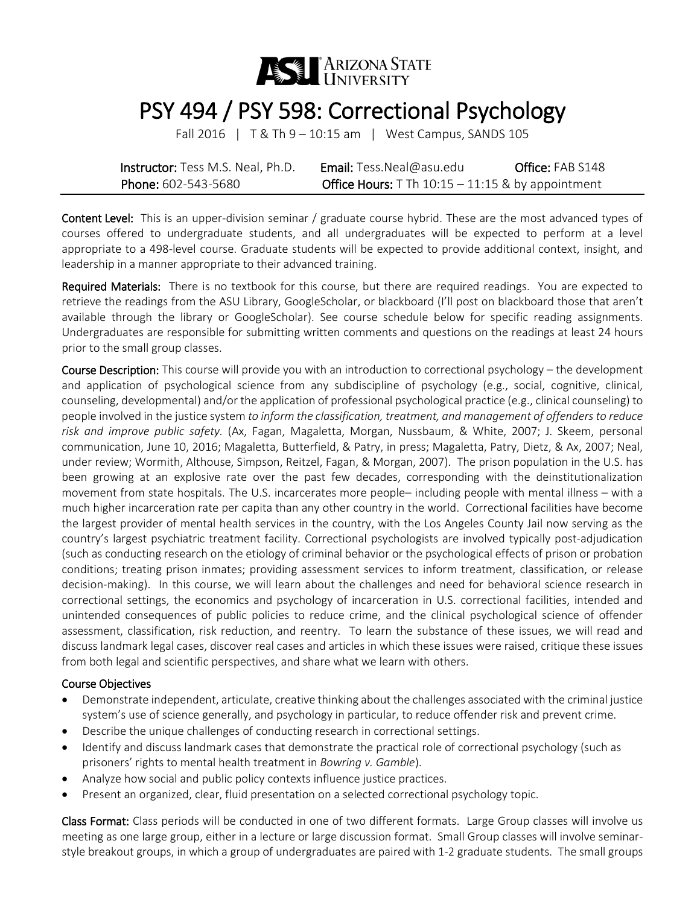

# PSY 494 / PSY 598: Correctional Psychology<br>Fall 2016 | T& Th 9 – 10:15 am | West Campus, SANDS 105

| <b>Instructor:</b> Tess M.S. Neal, Ph.D. | <b>Email:</b> Tess. Neal@asu.edu                           | Office: FAB S148 |
|------------------------------------------|------------------------------------------------------------|------------------|
| Phone: 602-543-5680                      | <b>Office Hours:</b> T Th $10:15 - 11:15$ & by appointment |                  |

Content Level: This is an upper-division seminar / graduate course hybrid. These are the most advanced types of courses offered to undergraduate students, and all undergraduates will be expected to perform at a level appropriate to a 498-level course. Graduate students will be expected to provide additional context, insight, and leadership in a manner appropriate to their advanced training.

Required Materials: There is no textbook for this course, but there are required readings. You are expected to retrieve the readings from the ASU Library, GoogleScholar, or blackboard (I'll post on blackboard those that aren't available through the library or GoogleScholar). See course schedule below for specific reading assignments. Undergraduates are responsible for submitting written comments and questions on the readings at least 24 hours prior to the small group classes.

Course Description: This course will provide you with an introduction to correctional psychology – the development and application of psychological science from any subdiscipline of psychology (e.g., social, cognitive, clinical, counseling, developmental) and/or the application of professional psychological practice (e.g., clinical counseling) to people involved in the justice system *to inform the classification, treatment, and management of offenders to reduce risk and improve public safety.* (Ax, Fagan, Magaletta, Morgan, Nussbaum, & White, 2007; J. Skeem, personal communication, June 10, 2016; Magaletta, Butterfield, & Patry, in press; Magaletta, Patry, Dietz, & Ax, 2007; Neal, under review; Wormith, Althouse, Simpson, Reitzel, Fagan, & Morgan, 2007). The prison population in the U.S. has been growing at an explosive rate over the past few decades, corresponding with the deinstitutionalization movement from state hospitals. The U.S. incarcerates more people– including people with mental illness – with a much higher incarceration rate per capita than any other country in the world. Correctional facilities have become the largest provider of mental health services in the country, with the Los Angeles County Jail now serving as the country's largest psychiatric treatment facility. Correctional psychologists are involved typically post-adjudication (such as conducting research on the etiology of criminal behavior or the psychological effects of prison or probation conditions; treating prison inmates; providing assessment services to inform treatment, classification, or release decision-making). In this course, we will learn about the challenges and need for behavioral science research in correctional settings, the economics and psychology of incarceration in U.S. correctional facilities, intended and unintended consequences of public policies to reduce crime, and the clinical psychological science of offender assessment, classification, risk reduction, and reentry. To learn the substance of these issues, we will read and discuss landmark legal cases, discover real cases and articles in which these issues were raised, critique these issues from both legal and scientific perspectives, and share what we learn with others.

#### Course Objectives

- Demonstrate independent, articulate, creative thinking about the challenges associated with the criminal justice system's use of science generally, and psychology in particular, to reduce offender risk and prevent crime.
- Describe the unique challenges of conducting research in correctional settings.
- Identify and discuss landmark cases that demonstrate the practical role of correctional psychology (such as prisoners' rights to mental health treatment in *Bowring v. Gamble*).
- Analyze how social and public policy contexts influence justice practices.
- Present an organized, clear, fluid presentation on a selected correctional psychology topic.

Class Format: Class periods will be conducted in one of two different formats. Large Group classes will involve us meeting as one large group, either in a lecture or large discussion format. Small Group classes will involve seminarstyle breakout groups, in which a group of undergraduates are paired with 1-2 graduate students. The small groups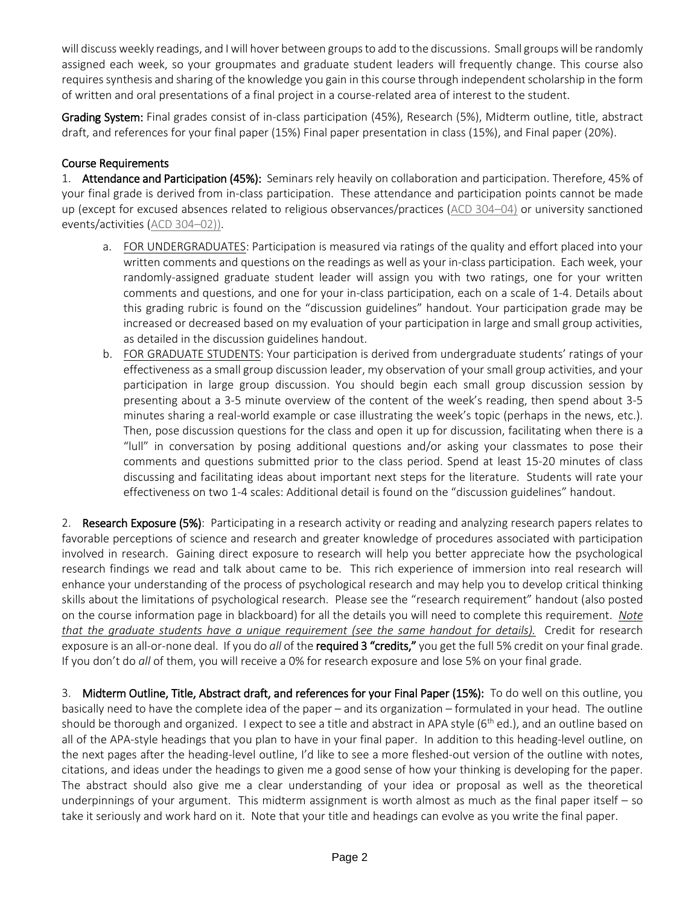will discuss weekly readings, and I will hover between groups to add to the discussions. Small groups will be randomly assigned each week, so your groupmates and graduate student leaders will frequently change. This course also requires synthesis and sharing of the knowledge you gain in this course through independent scholarship in the form of written and oral presentations of a final project in a course-related area of interest to the student.

Grading System: Final grades consist of in-class participation (45%), Research (5%), Midterm outline, title, abstract draft, and references for your final paper (15%) Final paper presentation in class (15%), and Final paper (20%).

# Course Requirements

1. Attendance and Participation (45%): Seminars rely heavily on collaboration and participation. Therefore, 45% of your final grade is derived from in-class participation. These attendance and participation points cannot be made up (except for excused absences related to religious observances/practices [\(ACD 304–04\)](http://www.asu.edu/aad/manuals/acd/acd304-04.html) or university sanctioned events/activities [\(ACD 304–02\)](http://www.asu.edu/aad/manuals/acd/acd304-02.html)).

- a. FOR UNDERGRADUATES: Participation is measured via ratings of the quality and effort placed into your written comments and questions on the readings as well as your in-class participation. Each week, your randomly-assigned graduate student leader will assign you with two ratings, one for your written comments and questions, and one for your in-class participation, each on a scale of 1-4. Details about this grading rubric is found on the "discussion guidelines" handout. Your participation grade may be increased or decreased based on my evaluation of your participation in large and small group activities, as detailed in the discussion guidelines handout.
- b. FOR GRADUATE STUDENTS: Your participation is derived from undergraduate students' ratings of your effectiveness as a small group discussion leader, my observation of your small group activities, and your participation in large group discussion. You should begin each small group discussion session by presenting about a 3-5 minute overview of the content of the week's reading, then spend about 3-5 minutes sharing a real-world example or case illustrating the week's topic (perhaps in the news, etc.). Then, pose discussion questions for the class and open it up for discussion, facilitating when there is a "lull" in conversation by posing additional questions and/or asking your classmates to pose their comments and questions submitted prior to the class period. Spend at least 15-20 minutes of class discussing and facilitating ideas about important next steps for the literature. Students will rate your effectiveness on two 1-4 scales: Additional detail is found on the "discussion guidelines" handout.

2. Research Exposure (5%): Participating in a research activity or reading and analyzing research papers relates to favorable perceptions of science and research and greater knowledge of procedures associated with participation involved in research. Gaining direct exposure to research will help you better appreciate how the psychological research findings we read and talk about came to be. This rich experience of immersion into real research will enhance your understanding of the process of psychological research and may help you to develop critical thinking skills about the limitations of psychological research. Please see the "research requirement" handout (also posted on the course information page in blackboard) for all the details you will need to complete this requirement. *Note that the graduate students have a unique requirement (see the same handout for details).* Credit for research exposure is an all-or-none deal. If you do *all* of the required 3 "credits," you get the full 5% credit on your final grade. If you don't do *all* of them, you will receive a 0% for research exposure and lose 5% on your final grade.

3. Midterm Outline, Title, Abstract draft, and references for your Final Paper (15%): To do well on this outline, you basically need to have the complete idea of the paper – and its organization – formulated in your head. The outline should be thorough and organized. I expect to see a title and abstract in APA style  $(6^{th}$  ed.), and an outline based on all of the APA-style headings that you plan to have in your final paper. In addition to this heading-level outline, on the next pages after the heading-level outline, I'd like to see a more fleshed-out version of the outline with notes, citations, and ideas under the headings to given me a good sense of how your thinking is developing for the paper. The abstract should also give me a clear understanding of your idea or proposal as well as the theoretical underpinnings of your argument. This midterm assignment is worth almost as much as the final paper itself – so take it seriously and work hard on it. Note that your title and headings can evolve as you write the final paper.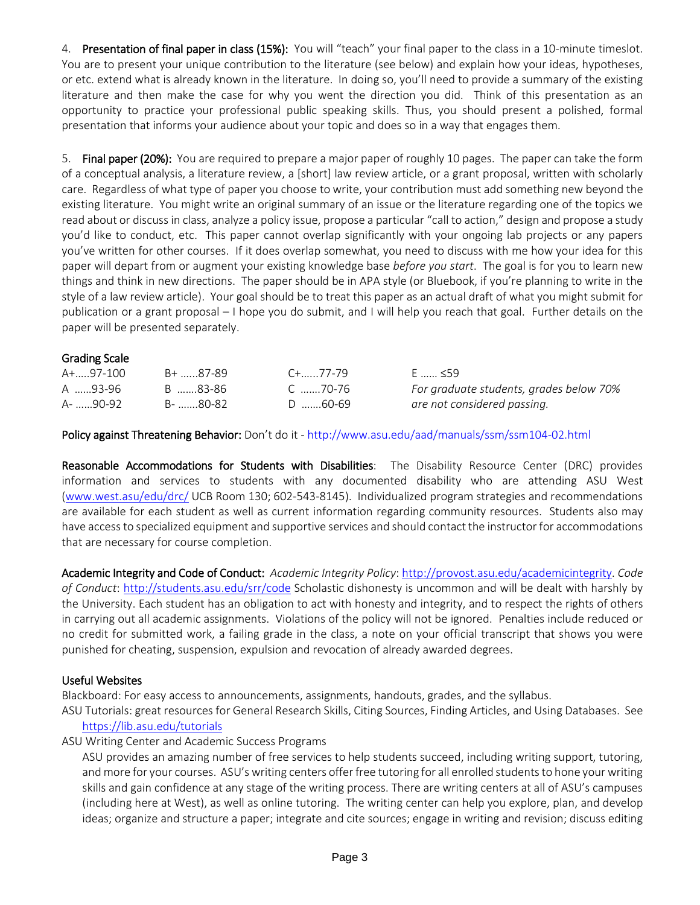4. Presentation of final paper in class (15%): You will "teach" your final paper to the class in a 10-minute timeslot. You are to present your unique contribution to the literature (see below) and explain how your ideas, hypotheses, or etc. extend what is already known in the literature. In doing so, you'll need to provide a summary of the existing literature and then make the case for why you went the direction you did. Think of this presentation as an opportunity to practice your professional public speaking skills. Thus, you should present a polished, formal presentation that informs your audience about your topic and does so in a way that engages them.

5. Final paper (20%): You are required to prepare a major paper of roughly 10 pages. The paper can take the form of a conceptual analysis, a literature review, a [short] law review article, or a grant proposal, written with scholarly care. Regardless of what type of paper you choose to write, your contribution must add something new beyond the existing literature. You might write an original summary of an issue or the literature regarding one of the topics we read about or discuss in class, analyze a policy issue, propose a particular "call to action," design and propose a study you'd like to conduct, etc. This paper cannot overlap significantly with your ongoing lab projects or any papers you've written for other courses. If it does overlap somewhat, you need to discuss with me how your idea for this paper will depart from or augment your existing knowledge base *before you start*. The goal is for you to learn new things and think in new directions. The paper should be in APA style (or Bluebook, if you're planning to write in the style of a law review article). Your goal should be to treat this paper as an actual draft of what you might submit for publication or a grant proposal – I hope you do submit, and I will help you reach that goal. Further details on the paper will be presented separately.

## Grading Scale

| A+97-100 | B+ 87-89 | C+……77-79 | E  ≤59                                  |
|----------|----------|-----------|-----------------------------------------|
| A 93-96  | B 83-86  | C 70-76   | For graduate students, grades below 70% |
| A- 90-92 | B- 80-82 | D 60-69   | are not considered passing.             |

Policy against Threatening Behavior: Don't do it - <http://www.asu.edu/aad/manuals/ssm/ssm104-02.html>

Reasonable Accommodations for Students with Disabilities: The Disability Resource Center (DRC) provides information and services to students with any documented disability who are attending ASU West [\(www.west.asu/edu/drc/](http://www.west.asu/edu/drc/) UCB Room 130; 602-543-8145). Individualized program strategies and recommendations are available for each student as well as current information regarding community resources. Students also may have access to specialized equipment and supportive services and should contact the instructor for accommodations that are necessary for course completion.

Academic Integrity and Code of Conduct: *Academic Integrity Policy*: [http://provost.asu.edu/academicintegrity.](http://provost.asu.edu/academicintegrity) *Code of Conduct*:<http://students.asu.edu/srr/code> Scholastic dishonesty is uncommon and will be dealt with harshly by the University. Each student has an obligation to act with honesty and integrity, and to respect the rights of others in carrying out all academic assignments. Violations of the policy will not be ignored. Penalties include reduced or no credit for submitted work, a failing grade in the class, a note on your official transcript that shows you were punished for cheating, suspension, expulsion and revocation of already awarded degrees.

#### Useful Websites

Blackboard: For easy access to announcements, assignments, handouts, grades, and the syllabus.

ASU Tutorials: great resources for General Research Skills, Citing Sources, Finding Articles, and Using Databases. See <https://lib.asu.edu/tutorials>

ASU Writing Center and Academic Success Programs

ASU provides an amazing number of free services to help students succeed, including writing support, tutoring, and more for your courses. ASU's writing centers offer free tutoring for all enrolled students to hone your writing skills and gain confidence at any stage of the writing process. There are writing centers at all of ASU's campuses (including here at West), as well as online tutoring. The writing center can help you explore, plan, and develop ideas; organize and structure a paper; integrate and cite sources; engage in writing and revision; discuss editing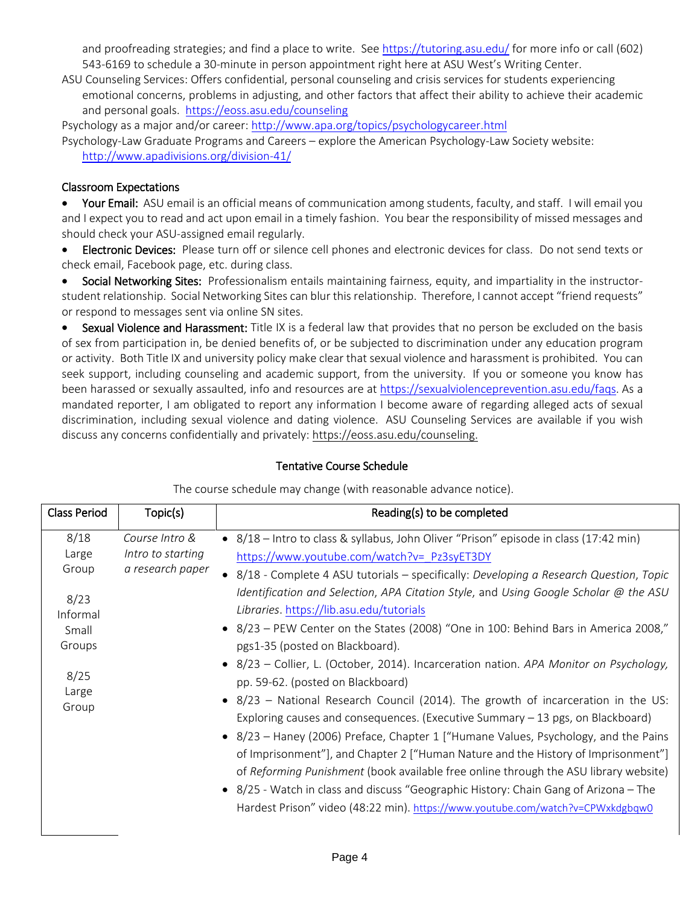and proofreading strategies; and find a place to write. See<https://tutoring.asu.edu/> for more info or call (602) 543-6169 to schedule a 30-minute in person appointment right here at ASU West's Writing Center.

ASU Counseling Services: Offers confidential, personal counseling and crisis services for students experiencing emotional concerns, problems in adjusting, and other factors that affect their ability to achieve their academic and personal goals. <https://eoss.asu.edu/counseling>

Psychology as a major and/or career:<http://www.apa.org/topics/psychologycareer.html> Psychology-Law Graduate Programs and Careers – explore the American Psychology-Law Society website: <http://www.apadivisions.org/division-41/>

## Classroom Expectations

Your Email: ASU email is an official means of communication among students, faculty, and staff. I will email you and I expect you to read and act upon email in a timely fashion. You bear the responsibility of missed messages and should check your ASU-assigned email regularly.

• Electronic Devices: Please turn off or silence cell phones and electronic devices for class. Do not send texts or check email, Facebook page, etc. during class.

• Social Networking Sites: Professionalism entails maintaining fairness, equity, and impartiality in the instructorstudent relationship. Social Networking Sites can blur this relationship. Therefore, I cannot accept "friend requests" or respond to messages sent via online SN sites.

• Sexual Violence and Harassment: Title IX is a federal law that provides that no person be excluded on the basis of sex from participation in, be denied benefits of, or be subjected to discrimination under any education program or activity. Both Title IX and university policy make clear that sexual violence and harassment is prohibited. You can seek support, including counseling and academic support, from the university. If you or someone you know has been harassed or sexually assaulted, info and resources are at [https://sexualviolenceprevention.asu.edu/faqs.](https://ex2010.asu.edu/owa/UrlBlockedError.aspx) As a mandated reporter, I am obligated to report any information I become aware of regarding alleged acts of sexual discrimination, including sexual violence and dating violence. ASU Counseling Services are available if you wish discuss any concerns confidentially and privately: [https://eoss.asu.edu/counseling.](https://ex2010.asu.edu/owa/redir.aspx?SURL=ZtsWTYpzMIKAOrlHjVi9WSEHzUw-g9u0AOZcjtBtGHumImQxdgLTCGgAdAB0AHAAcwA6AC8ALwBlAG8AcwBzAC4AYQBzAHUALgBlAGQAdQAvAGMAbwB1AG4AcwBlAGwAaQBuAGcA&URL=https%3a%2f%2feoss.asu.edu%2fcounseling)

## Tentative Course Schedule

| <b>Class Period</b>    | Topic(s)                                                | Reading(s) to be completed                                                                                                                                                                                                                                                                                                                          |
|------------------------|---------------------------------------------------------|-----------------------------------------------------------------------------------------------------------------------------------------------------------------------------------------------------------------------------------------------------------------------------------------------------------------------------------------------------|
| 8/18<br>Large<br>Group | Course Intro &<br>Intro to starting<br>a research paper | • 8/18 - Intro to class & syllabus, John Oliver "Prison" episode in class (17:42 min)<br>https://www.youtube.com/watch?v= Pz3syET3DY                                                                                                                                                                                                                |
| 8/23<br>Informal       |                                                         | • 8/18 - Complete 4 ASU tutorials – specifically: Developing a Research Question, Topic<br>Identification and Selection, APA Citation Style, and Using Google Scholar @ the ASU<br>Libraries. https://lib.asu.edu/tutorials                                                                                                                         |
| Small<br>Groups        |                                                         | • 8/23 - PEW Center on the States (2008) "One in 100: Behind Bars in America 2008,"<br>pgs1-35 (posted on Blackboard).                                                                                                                                                                                                                              |
| 8/25<br>Large          |                                                         | • 8/23 - Collier, L. (October, 2014). Incarceration nation. APA Monitor on Psychology,<br>pp. 59-62. (posted on Blackboard)<br>• 8/23 - National Research Council (2014). The growth of incarceration in the US:                                                                                                                                    |
| Group                  |                                                         | Exploring causes and consequences. (Executive Summary $-13$ pgs, on Blackboard)<br>• 8/23 – Haney (2006) Preface, Chapter 1 ["Humane Values, Psychology, and the Pains<br>of Imprisonment"], and Chapter 2 ["Human Nature and the History of Imprisonment"]<br>of Reforming Punishment (book available free online through the ASU library website) |
|                        |                                                         | • 8/25 - Watch in class and discuss "Geographic History: Chain Gang of Arizona – The<br>Hardest Prison" video (48:22 min). https://www.youtube.com/watch?v=CPWxkdgbqw0                                                                                                                                                                              |

The course schedule may change (with reasonable advance notice).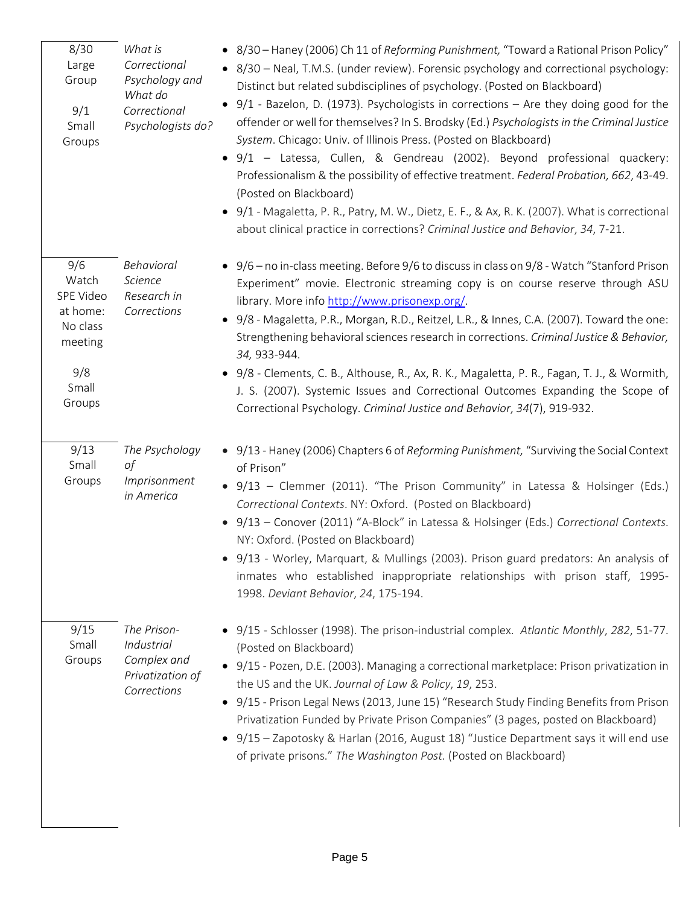| 8/30<br>Large<br>Group<br>9/1<br>Small<br>Groups                                       | What is<br>Correctional<br>Psychology and<br>What do<br>Correctional<br>Psychologists do? | • 8/30 - Haney (2006) Ch 11 of Reforming Punishment, "Toward a Rational Prison Policy"<br>• 8/30 – Neal, T.M.S. (under review). Forensic psychology and correctional psychology:<br>Distinct but related subdisciplines of psychology. (Posted on Blackboard)<br>$9/1$ - Bazelon, D. (1973). Psychologists in corrections – Are they doing good for the<br>offender or well for themselves? In S. Brodsky (Ed.) Psychologists in the Criminal Justice<br>System. Chicago: Univ. of Illinois Press. (Posted on Blackboard)<br>9/1 - Latessa, Cullen, & Gendreau (2002). Beyond professional quackery:<br>Professionalism & the possibility of effective treatment. Federal Probation, 662, 43-49.<br>(Posted on Blackboard)<br>9/1 - Magaletta, P. R., Patry, M. W., Dietz, E. F., & Ax, R. K. (2007). What is correctional<br>about clinical practice in corrections? Criminal Justice and Behavior, 34, 7-21. |
|----------------------------------------------------------------------------------------|-------------------------------------------------------------------------------------------|----------------------------------------------------------------------------------------------------------------------------------------------------------------------------------------------------------------------------------------------------------------------------------------------------------------------------------------------------------------------------------------------------------------------------------------------------------------------------------------------------------------------------------------------------------------------------------------------------------------------------------------------------------------------------------------------------------------------------------------------------------------------------------------------------------------------------------------------------------------------------------------------------------------|
| 9/6<br>Watch<br>SPE Video<br>at home:<br>No class<br>meeting<br>9/8<br>Small<br>Groups | Behavioral<br>Science<br>Research in<br>Corrections                                       | • 9/6 – no in-class meeting. Before 9/6 to discuss in class on 9/8 - Watch "Stanford Prison<br>Experiment" movie. Electronic streaming copy is on course reserve through ASU<br>library. More info http://www.prisonexp.org/.<br>• 9/8 - Magaletta, P.R., Morgan, R.D., Reitzel, L.R., & Innes, C.A. (2007). Toward the one:<br>Strengthening behavioral sciences research in corrections. Criminal Justice & Behavior,<br>34, 933-944.<br>9/8 - Clements, C. B., Althouse, R., Ax, R. K., Magaletta, P. R., Fagan, T. J., & Wormith,<br>J. S. (2007). Systemic Issues and Correctional Outcomes Expanding the Scope of<br>Correctional Psychology. Criminal Justice and Behavior, 34(7), 919-932.                                                                                                                                                                                                             |
| 9/13<br>Small<br>Groups                                                                | The Psychology<br>οf<br>Imprisonment<br>in America                                        | • 9/13 - Haney (2006) Chapters 6 of Reforming Punishment, "Surviving the Social Context<br>of Prison"<br>• 9/13 - Clemmer (2011). "The Prison Community" in Latessa & Holsinger (Eds.)<br>Correctional Contexts. NY: Oxford. (Posted on Blackboard)<br>9/13 - Conover (2011) "A-Block" in Latessa & Holsinger (Eds.) Correctional Contexts.<br>NY: Oxford. (Posted on Blackboard)<br>• 9/13 - Worley, Marquart, & Mullings (2003). Prison guard predators: An analysis of<br>inmates who established inappropriate relationships with prison staff, 1995-<br>1998. Deviant Behavior, 24, 175-194.                                                                                                                                                                                                                                                                                                              |
| 9/15<br>Small<br>Groups                                                                | The Prison-<br>Industrial<br>Complex and<br>Privatization of<br>Corrections               | • 9/15 - Schlosser (1998). The prison-industrial complex. Atlantic Monthly, 282, 51-77.<br>(Posted on Blackboard)<br>• 9/15 - Pozen, D.E. (2003). Managing a correctional marketplace: Prison privatization in<br>the US and the UK. Journal of Law & Policy, 19, 253.<br>• 9/15 - Prison Legal News (2013, June 15) "Research Study Finding Benefits from Prison<br>Privatization Funded by Private Prison Companies" (3 pages, posted on Blackboard)<br>• 9/15 - Zapotosky & Harlan (2016, August 18) "Justice Department says it will end use<br>of private prisons." The Washington Post. (Posted on Blackboard)                                                                                                                                                                                                                                                                                           |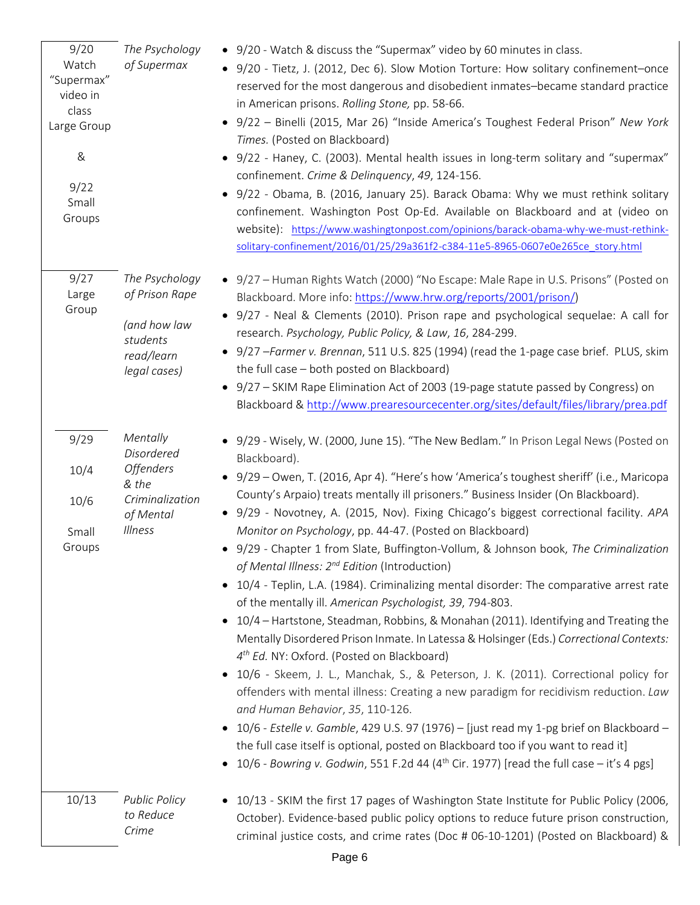| 9/20<br>Watch<br>"Supermax"<br>video in<br>class<br>Large Group<br>$\&$<br>9/22<br>Small<br>Groups | The Psychology<br>of Supermax                                                                  | • 9/20 - Watch & discuss the "Supermax" video by 60 minutes in class.<br>• 9/20 - Tietz, J. (2012, Dec 6). Slow Motion Torture: How solitary confinement-once<br>reserved for the most dangerous and disobedient inmates-became standard practice<br>in American prisons. Rolling Stone, pp. 58-66.<br>9/22 - Binelli (2015, Mar 26) "Inside America's Toughest Federal Prison" New York<br>Times. (Posted on Blackboard)<br>9/22 - Haney, C. (2003). Mental health issues in long-term solitary and "supermax"<br>$\bullet$<br>confinement. Crime & Delinquency, 49, 124-156.<br>• 9/22 - Obama, B. (2016, January 25). Barack Obama: Why we must rethink solitary<br>confinement. Washington Post Op-Ed. Available on Blackboard and at (video on<br>website): https://www.washingtonpost.com/opinions/barack-obama-why-we-must-rethink-<br>solitary-confinement/2016/01/25/29a361f2-c384-11e5-8965-0607e0e265ce_story.html                                                                                                                                                                                                                                                                                                                                                                                                                                                                                                                                                                                                                  |
|----------------------------------------------------------------------------------------------------|------------------------------------------------------------------------------------------------|------------------------------------------------------------------------------------------------------------------------------------------------------------------------------------------------------------------------------------------------------------------------------------------------------------------------------------------------------------------------------------------------------------------------------------------------------------------------------------------------------------------------------------------------------------------------------------------------------------------------------------------------------------------------------------------------------------------------------------------------------------------------------------------------------------------------------------------------------------------------------------------------------------------------------------------------------------------------------------------------------------------------------------------------------------------------------------------------------------------------------------------------------------------------------------------------------------------------------------------------------------------------------------------------------------------------------------------------------------------------------------------------------------------------------------------------------------------------------------------------------------------------------------------------|
| 9/27<br>Large<br>Group                                                                             | The Psychology<br>of Prison Rape<br>(and how law<br>students<br>read/learn<br>legal cases)     | • 9/27 - Human Rights Watch (2000) "No Escape: Male Rape in U.S. Prisons" (Posted on<br>Blackboard. More info: https://www.hrw.org/reports/2001/prison/)<br>• 9/27 - Neal & Clements (2010). Prison rape and psychological sequelae: A call for<br>research. Psychology, Public Policy, & Law, 16, 284-299.<br>• 9/27 - Farmer v. Brennan, 511 U.S. 825 (1994) (read the 1-page case brief. PLUS, skim<br>the full case - both posted on Blackboard)<br>• 9/27 - SKIM Rape Elimination Act of 2003 (19-page statute passed by Congress) on<br>Blackboard & http://www.prearesourcecenter.org/sites/default/files/library/prea.pdf                                                                                                                                                                                                                                                                                                                                                                                                                                                                                                                                                                                                                                                                                                                                                                                                                                                                                                              |
| 9/29<br>10/4<br>10/6<br>Small<br>Groups                                                            | Mentally<br>Disordered<br><b>Offenders</b><br>& the<br>Criminalization<br>of Mental<br>Illness | • 9/29 - Wisely, W. (2000, June 15). "The New Bedlam." In Prison Legal News (Posted on<br>Blackboard).<br>• 9/29 - Owen, T. (2016, Apr 4). "Here's how 'America's toughest sheriff' (i.e., Maricopa<br>County's Arpaio) treats mentally ill prisoners." Business Insider (On Blackboard).<br>• 9/29 - Novotney, A. (2015, Nov). Fixing Chicago's biggest correctional facility. APA<br>Monitor on Psychology, pp. 44-47. (Posted on Blackboard)<br>• 9/29 - Chapter 1 from Slate, Buffington-Vollum, & Johnson book, The Criminalization<br>of Mental Illness: 2 <sup>nd</sup> Edition (Introduction)<br>10/4 - Teplin, L.A. (1984). Criminalizing mental disorder: The comparative arrest rate<br>$\bullet$<br>of the mentally ill. American Psychologist, 39, 794-803.<br>10/4 – Hartstone, Steadman, Robbins, & Monahan (2011). Identifying and Treating the<br>Mentally Disordered Prison Inmate. In Latessa & Holsinger (Eds.) Correctional Contexts:<br>4 <sup>th</sup> Ed. NY: Oxford. (Posted on Blackboard)<br>10/6 - Skeem, J. L., Manchak, S., & Peterson, J. K. (2011). Correctional policy for<br>offenders with mental illness: Creating a new paradigm for recidivism reduction. Law<br>and Human Behavior, 35, 110-126.<br>10/6 - Estelle v. Gamble, 429 U.S. 97 (1976) – [just read my 1-pg brief on Blackboard –<br>$\bullet$<br>the full case itself is optional, posted on Blackboard too if you want to read it]<br>• 10/6 - Bowring v. Godwin, 551 F.2d 44 (4 <sup>th</sup> Cir. 1977) [read the full case - it's 4 pgs] |
| 10/13                                                                                              | <b>Public Policy</b><br>to Reduce<br>Crime                                                     | 10/13 - SKIM the first 17 pages of Washington State Institute for Public Policy (2006,<br>October). Evidence-based public policy options to reduce future prison construction,<br>criminal justice costs, and crime rates (Doc # 06-10-1201) (Posted on Blackboard) &                                                                                                                                                                                                                                                                                                                                                                                                                                                                                                                                                                                                                                                                                                                                                                                                                                                                                                                                                                                                                                                                                                                                                                                                                                                                          |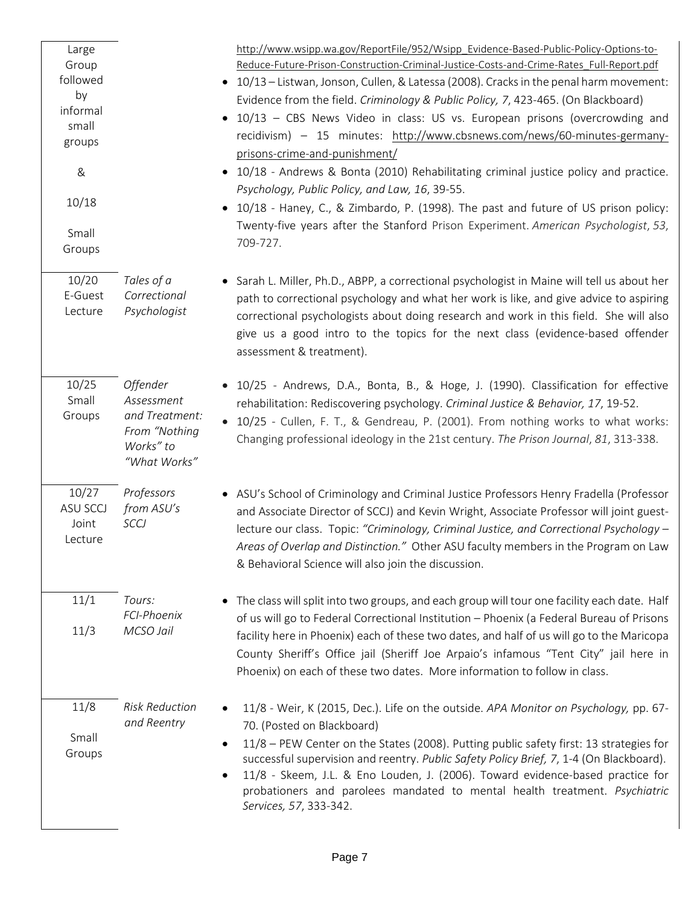| Large           |                                            | http://www.wsipp.wa.gov/ReportFile/952/Wsipp_Evidence-Based-Public-Policy-Options-to-                                                                                                               |
|-----------------|--------------------------------------------|-----------------------------------------------------------------------------------------------------------------------------------------------------------------------------------------------------|
| Group           |                                            | Reduce-Future-Prison-Construction-Criminal-Justice-Costs-and-Crime-Rates_Full-Report.pdf                                                                                                            |
| followed<br>by  |                                            | • 10/13 - Listwan, Jonson, Cullen, & Latessa (2008). Cracks in the penal harm movement:                                                                                                             |
| informal        |                                            | Evidence from the field. Criminology & Public Policy, 7, 423-465. (On Blackboard)                                                                                                                   |
| small           |                                            | 10/13 - CBS News Video in class: US vs. European prisons (overcrowding and                                                                                                                          |
| groups          |                                            | recidivism) - 15 minutes: http://www.cbsnews.com/news/60-minutes-germany-                                                                                                                           |
|                 |                                            | prisons-crime-and-punishment/                                                                                                                                                                       |
| $\&$            |                                            | • 10/18 - Andrews & Bonta (2010) Rehabilitating criminal justice policy and practice.<br>Psychology, Public Policy, and Law, 16, 39-55.                                                             |
| 10/18           |                                            | 10/18 - Haney, C., & Zimbardo, P. (1998). The past and future of US prison policy:<br>Twenty-five years after the Stanford Prison Experiment. American Psychologist, 53,                            |
| Small<br>Groups |                                            | 709-727.                                                                                                                                                                                            |
| 10/20           | Tales of a                                 | • Sarah L. Miller, Ph.D., ABPP, a correctional psychologist in Maine will tell us about her                                                                                                         |
| E-Guest         | Correctional                               | path to correctional psychology and what her work is like, and give advice to aspiring                                                                                                              |
| Lecture         | Psychologist                               | correctional psychologists about doing research and work in this field. She will also<br>give us a good intro to the topics for the next class (evidence-based offender<br>assessment & treatment). |
| 10/25           | Offender                                   | • 10/25 - Andrews, D.A., Bonta, B., & Hoge, J. (1990). Classification for effective                                                                                                                 |
| Small           | Assessment                                 | rehabilitation: Rediscovering psychology. Criminal Justice & Behavior, 17, 19-52.                                                                                                                   |
| Groups          | and Treatment:                             | • 10/25 - Cullen, F. T., & Gendreau, P. (2001). From nothing works to what works:                                                                                                                   |
|                 | From "Nothing<br>Works" to<br>"What Works" | Changing professional ideology in the 21st century. The Prison Journal, 81, 313-338.                                                                                                                |
| 10/27           | Professors                                 | • ASU's School of Criminology and Criminal Justice Professors Henry Fradella (Professor                                                                                                             |
| <b>ASU SCCJ</b> | from ASU's                                 | and Associate Director of SCCJ) and Kevin Wright, Associate Professor will joint guest-                                                                                                             |
| Joint           | SCCJ                                       | lecture our class. Topic: "Criminology, Criminal Justice, and Correctional Psychology -                                                                                                             |
| Lecture         |                                            | Areas of Overlap and Distinction." Other ASU faculty members in the Program on Law<br>& Behavioral Science will also join the discussion.                                                           |
| 11/1            | Tours:                                     | The class will split into two groups, and each group will tour one facility each date. Half                                                                                                         |
|                 | FCI-Phoenix<br>MCSO Jail                   | of us will go to Federal Correctional Institution - Phoenix (a Federal Bureau of Prisons                                                                                                            |
| 11/3            |                                            | facility here in Phoenix) each of these two dates, and half of us will go to the Maricopa                                                                                                           |
|                 |                                            | County Sheriff's Office jail (Sheriff Joe Arpaio's infamous "Tent City" jail here in<br>Phoenix) on each of these two dates. More information to follow in class.                                   |
| 11/8            | <b>Risk Reduction</b>                      | 11/8 - Weir, K (2015, Dec.). Life on the outside. APA Monitor on Psychology, pp. 67-                                                                                                                |
|                 | and Reentry                                | 70. (Posted on Blackboard)                                                                                                                                                                          |
| Small           |                                            | 11/8 - PEW Center on the States (2008). Putting public safety first: 13 strategies for<br>$\bullet$                                                                                                 |
| Groups          |                                            | successful supervision and reentry. Public Safety Policy Brief, 7, 1-4 (On Blackboard).<br>11/8 - Skeem, J.L. & Eno Louden, J. (2006). Toward evidence-based practice for                           |
|                 |                                            | probationers and parolees mandated to mental health treatment. Psychiatric<br>Services, 57, 333-342.                                                                                                |